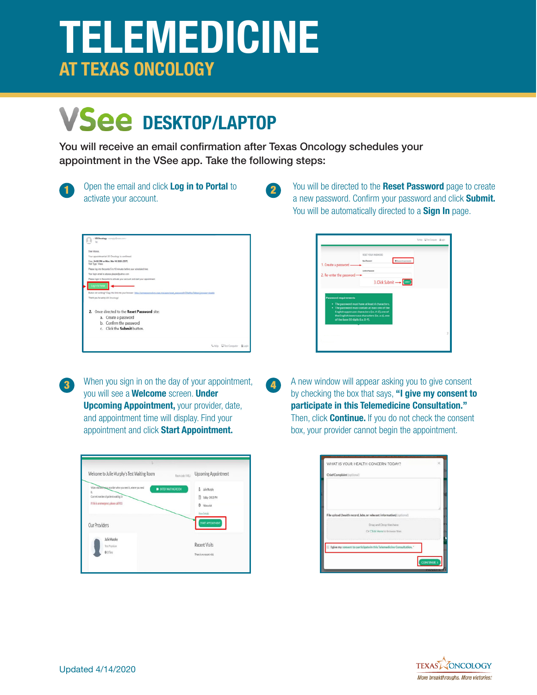## **TELEMEDICINE AT TEXAS ONCOLOGY**

## **VSee DESKTOP/LAPTOP**

You will receive an email confirmation after Texas Oncology schedules your appointment in the VSee app. Take the following steps:

12

| v.<br>×<br>-- | I<br>ł<br>∽ |
|---------------|-------------|
|               |             |

Open the email and click **Log in to Portal** to activate your account.

|                   | US Oncology - nonsply@vale.com>                                                                                                              |                              |
|-------------------|----------------------------------------------------------------------------------------------------------------------------------------------|------------------------------|
| Dear Alyssa.      |                                                                                                                                              |                              |
|                   | Your appointment at US Oncology is confirmed.                                                                                                |                              |
| Visit Type: Video | Date: 04:00 PM on Mon. Mar 16 2920 (CDT)                                                                                                     |                              |
|                   | Please log into the portal 5 to 10 minutes before your scheduled time.                                                                       |                              |
|                   | Your login email is: aliessa glaspie@sahoo.com                                                                                               |                              |
|                   | Please login to the portal to activate your account and start your appointment.                                                              |                              |
| Log In to Portal  |                                                                                                                                              |                              |
|                   | Button not working? Capy this link into your browser: https://compassoncology.yage.me/users/reset.password/t/194cfloc?detect_browser-disable |                              |
|                   | Thank you for using US Oncology!                                                                                                             |                              |
|                   | 2. Once directed to the Reset Password site:<br>a. Create a password<br>b. Confirm the password                                              |                              |
|                   | c. Click the Submit button.                                                                                                                  |                              |
|                   |                                                                                                                                              | Liklo Citat Computer & Login |



When you sign in on the day of your appointment, you will see a **Welcome** screen. **Under Upcoming Appointment,** *your provider*, date, and appointment time will display. Find your appointment and click **Start Appointment.**

| Welcome to Julie Murphy's Test Waiting Room                                                          | Upcoming Appointment<br>Room code: VABLI |
|------------------------------------------------------------------------------------------------------|------------------------------------------|
| Video visit with your provider when you need it, where you need<br><b>IN ENTER WAITING ROOM</b><br>Ł | å.<br>Julie Murphy                       |
| Current number of patients waiting: D                                                                | Today - DR 30 PM<br>m                    |
| If this is an emergency please call 911                                                              | <b>0</b> Videovisit                      |
|                                                                                                      | View Details                             |
| Our Providers                                                                                        | START APPOINTMENT                        |
| Julie Murphy                                                                                         | <b>Recent Visits</b>                     |
| Test Physician<br>@ Office                                                                           |                                          |
|                                                                                                      | There is no recent visit.                |

1 You will be directed to the **Reset Password** page to create a new password. Confirm your password and click **Submit.**  You will be automatically directed to a **Sign In** page.

|                                                                   | RESET YOUR PASSWORD.<br><b>New Password</b>                                                                                                                                                               | <b><i><u>Discontrazionen</u></i></b> |
|-------------------------------------------------------------------|-----------------------------------------------------------------------------------------------------------------------------------------------------------------------------------------------------------|--------------------------------------|
| 1. Create a password<br>2. Re-enter the password-                 | Cardon/Assurant                                                                                                                                                                                           |                                      |
|                                                                   | 3. Click Submit -                                                                                                                                                                                         |                                      |
| <b>Password requirements</b><br>of the base 10 digits (i.e. 0-9). | . The password must have at least 6 characters.<br>. The password must contain at least one of the<br>English uppercase characters (i.e. A-Z), one of<br>the English lowercase characters (i.e. a-z), one |                                      |
|                                                                   |                                                                                                                                                                                                           |                                      |

**13** When you sign in on the day of your appointment, **14** A new window will appear asking you to give consent by checking the box that says, **"I give my consent to participate in this Telemedicine Consultation."**  Then, click **Continue.** If you do not check the consent box, your provider cannot begin the appointment.

|                            | WHAT IS YOUR HEALTH CONCERN TODAY?                                    | ×                 |
|----------------------------|-----------------------------------------------------------------------|-------------------|
| Chief Complaint (optional) |                                                                       |                   |
|                            |                                                                       |                   |
|                            |                                                                       |                   |
|                            | File upload (health record, labs, or relevant information) (optional) |                   |
|                            | Drag and Drop files here                                              |                   |
|                            | Or Click Here to browse files                                         |                   |
|                            |                                                                       |                   |
|                            | I give my consent to participate in this Telemedicine Consultation."  |                   |
|                            |                                                                       |                   |
|                            |                                                                       | <b>CONTINUE</b> > |

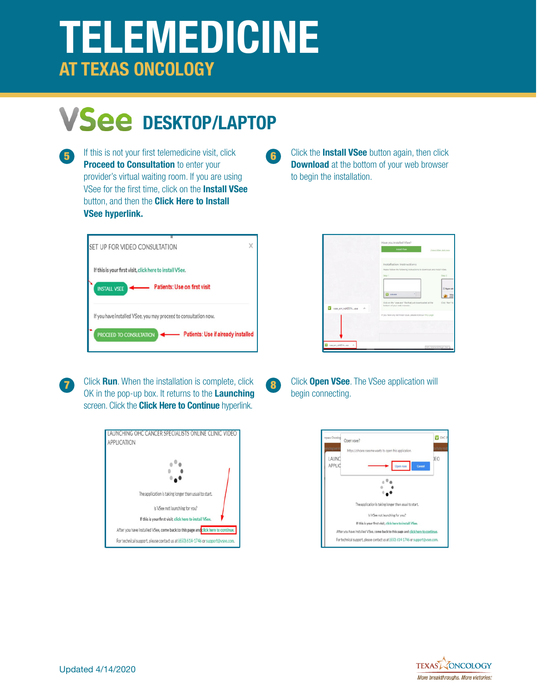# **TELEMEDICINE AT TEXAS ONCOLOGY**

## **VSee DESKTOP/LAPTOP**

**Proceed to Consultation** to enter your provider's virtual waiting room. If you are using VSee for the first time, click on the **Install VSee**  button, and then the **Click Here to Install VSee hyperlink.**



**17 Click Run**. When the installation is complete, click **8 Click Open VSee**. The VSee application will OK in the pop-up box. It returns to the **Launching** screen. Click the **Click Here to Continue** hyperlink.



**15** If this is not your first telemedicine visit, click **16** Click the **Install VSee** button again, then click **Download** at the bottom of your web browser to begin the installation.

|                            | Have you installed VSee?<br><b>Install View</b>                                                                                                                                                                                                                                            | thave view test now                                       |
|----------------------------|--------------------------------------------------------------------------------------------------------------------------------------------------------------------------------------------------------------------------------------------------------------------------------------------|-----------------------------------------------------------|
| vsee_em_nd40514exe<br>×.   | Installation Instructions<br>Please follow the following restructions to downlead and install view.<br>Step 1<br><b>IV</b> viscos<br>Click on the "vsee axe" file that just downloaded at the<br>bottom af your web browser.<br>If you have any technical issue, please visit our FAQ page | $50+p2$<br>Z. Ren't sold<br><b>HSK</b><br>Click "Run" to: |
| THE RESIDENCE IS<br>$\sim$ |                                                                                                                                                                                                                                                                                            | 594. Telest and Riogin client                             |



18

16